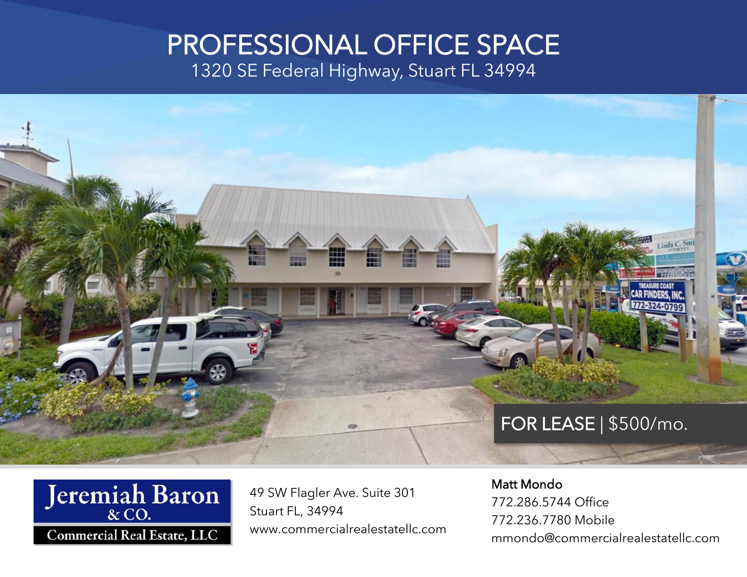# PROFESSIONAL OFFICE SPACE

1320 SE Federal Highway, Stuart FL 34994





49 SW Flagler Ave. Suite 301 Stuart FL, 34994 www.commercialrealestatellc.com Matt Mondo 772.286.5744 Office 772.236.7780 Mobile mmondo@commercialrealestatellc.com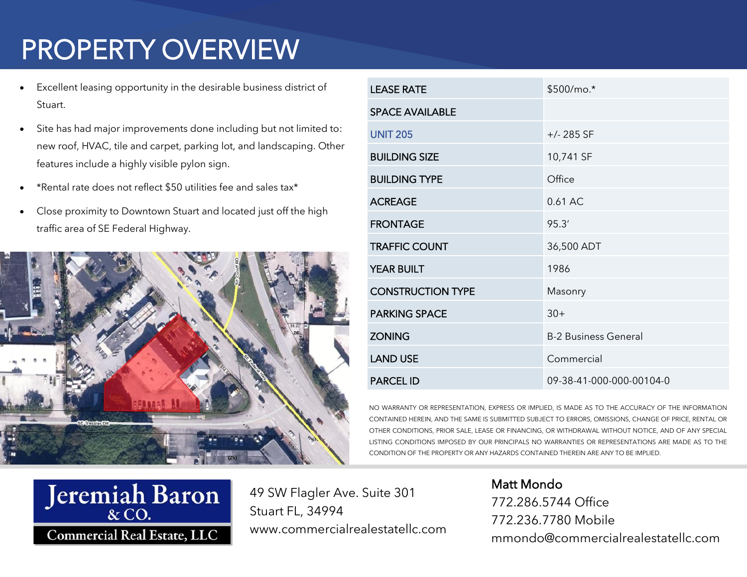## PROPERTY OVERVIEW

- Excellent leasing opportunity in the desirable business district of Stuart.
- Site has had major improvements done including but not limited to: new roof, HVAC, tile and carpet, parking lot, and landscaping. Other features include a highly visible pylon sign.
- \*Rental rate does not reflect \$50 utilities fee and sales tax\*
- Close proximity to Downtown Stuart and located just off the high traffic area of SE Federal Highway.



| <b>LEASE RATE</b>        | \$500/mo.*                  |
|--------------------------|-----------------------------|
| <b>SPACE AVAILABLE</b>   |                             |
| <b>UNIT 205</b>          | $+/- 285$ SF                |
| <b>BUILDING SIZE</b>     | 10,741 SF                   |
| <b>BUILDING TYPE</b>     | Office                      |
| <b>ACREAGE</b>           | 0.61 AC                     |
| <b>FRONTAGE</b>          | 95.3'                       |
| <b>TRAFFIC COUNT</b>     | 36,500 ADT                  |
| <b>YEAR BUILT</b>        | 1986                        |
| <b>CONSTRUCTION TYPE</b> | Masonry                     |
| <b>PARKING SPACE</b>     | $30+$                       |
| <b>ZONING</b>            | <b>B-2 Business General</b> |
| <b>LAND USE</b>          | Commercial                  |
| <b>PARCEL ID</b>         | 09-38-41-000-000-00104-0    |

NO WARRANTY OR REPRESENTATION, EXPRESS OR IMPLIED, IS MADE AS TO THE ACCURACY OF THE INFORMATION CONTAINED HEREIN, AND THE SAME IS SUBMITTED SUBJECT TO ERRORS, OMISSIONS, CHANGE OF PRICE, RENTAL OR OTHER CONDITIONS, PRIOR SALE, LEASE OR FINANCING, OR WITHDRAWAL WITHOUT NOTICE, AND OF ANY SPECIAL LISTING CONDITIONS IMPOSED BY OUR PRINCIPALS NO WARRANTIES OR REPRESENTATIONS ARE MADE AS TO THE CONDITION OF THE PROPERTY OR ANY HAZARDS CONTAINED THEREIN ARE ANY TO BE IMPLIED.



49 SW Flagler Ave. Suite 301 Stuart FL, 34994 www.commercialrealestatellc.com Matt Mondo 772.286.5744 Office 772.236.7780 Mobile mmondo@commercialrealestatellc.com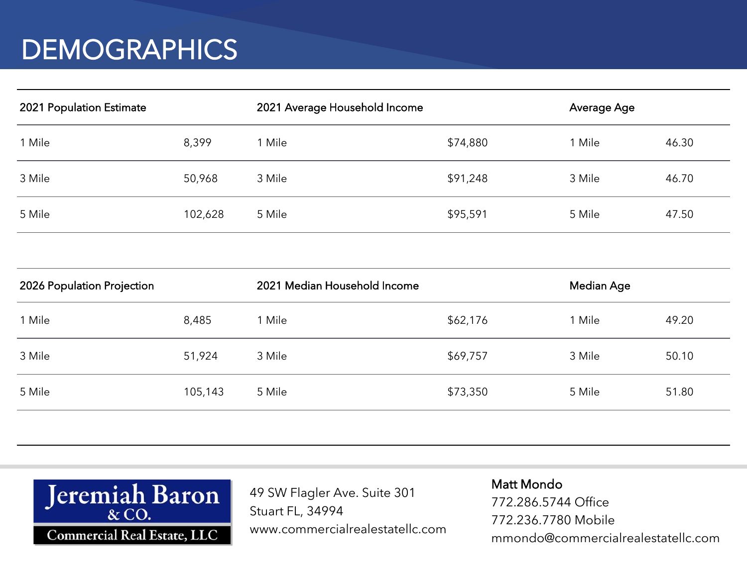### **DEMOGRAPHICS**

| 2021 Population Estimate |         | 2021 Average Household Income |          | Average Age |       |
|--------------------------|---------|-------------------------------|----------|-------------|-------|
| 1 Mile                   | 8,399   | 1 Mile                        | \$74,880 | l Mile      | 46.30 |
| 3 Mile                   | 50,968  | 3 Mile                        | \$91,248 | 3 Mile      | 46.70 |
| 5 Mile                   | 102,628 | 5 Mile                        | \$95,591 | 5 Mile      | 47.50 |

| 2026 Population Projection |         | 2021 Median Household Income |          | Median Age |       |
|----------------------------|---------|------------------------------|----------|------------|-------|
| 1 Mile                     | 8,485   | 1 Mile                       | \$62,176 | 1 Mile     | 49.20 |
| 3 Mile                     | 51,924  | 3 Mile                       | \$69,757 | 3 Mile     | 50.10 |
| 5 Mile                     | 105,143 | 5 Mile                       | \$73,350 | 5 Mile     | 51.80 |
|                            |         |                              |          |            |       |



49 SW Flagler Ave. Suite 301 Stuart FL, 34994 www.commercialrealestatellc.com Matt Mondo 772.286.5744 Office 772.236.7780 Mobile mmondo@commercialrealestatellc.com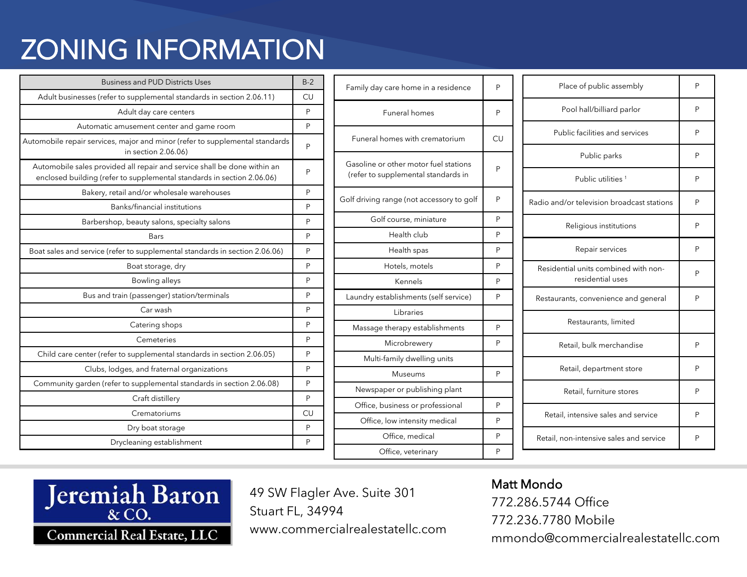## ZONING INFORMATION

| <b>Business and PUD Districts Uses</b>                                                                                                             | $B-2$ |
|----------------------------------------------------------------------------------------------------------------------------------------------------|-------|
| Adult businesses (refer to supplemental standards in section 2.06.11)                                                                              | CU    |
| Adult day care centers                                                                                                                             | P     |
| Automatic amusement center and game room                                                                                                           | P     |
| Automobile repair services, major and minor (refer to supplemental standards<br>in section 2.06.06)                                                | Ρ     |
| Automobile sales provided all repair and service shall be done within an<br>enclosed building (refer to supplemental standards in section 2.06.06) | Ρ     |
| Bakery, retail and/or wholesale warehouses                                                                                                         | P     |
| Banks/financial institutions                                                                                                                       | P     |
| Barbershop, beauty salons, specialty salons                                                                                                        | P     |
| <b>Bars</b>                                                                                                                                        | P     |
| Boat sales and service (refer to supplemental standards in section 2.06.06)                                                                        | P     |
| Boat storage, dry                                                                                                                                  | P     |
| Bowling alleys                                                                                                                                     | P     |
| Bus and train (passenger) station/terminals                                                                                                        | P     |
| Car wash                                                                                                                                           | P     |
| Catering shops                                                                                                                                     | P     |
| Cemeteries                                                                                                                                         | P     |
| Child care center (refer to supplemental standards in section 2.06.05)                                                                             | P     |
| Clubs, lodges, and fraternal organizations                                                                                                         | Ρ     |
| Community garden (refer to supplemental standards in section 2.06.08)                                                                              | P     |
| Craft distillery                                                                                                                                   | P     |
| Crematoriums                                                                                                                                       | CU    |
| Dry boat storage                                                                                                                                   | P     |
| Drycleaning establishment                                                                                                                          | P     |

| Family day care home in a residence                                          | P  | Place of public assembly                   | P |
|------------------------------------------------------------------------------|----|--------------------------------------------|---|
| Funeral homes                                                                | P  | Pool hall/billiard parlor                  | P |
| Funeral homes with crematorium                                               | CU | Public facilities and services             | P |
| Gasoline or other motor fuel stations<br>(refer to supplemental standards in |    | Public parks                               | P |
|                                                                              | Ρ  | Public utilities <sup>1</sup>              | P |
| Golf driving range (not accessory to golf                                    | P  | Radio and/or television broadcast stations | P |
| Golf course, miniature                                                       | P  | Religious institutions                     | P |
| Health club                                                                  | P  |                                            |   |
| Health spas                                                                  | P  | Repair services                            | P |
| Hotels, motels                                                               | P  | Residential units combined with non-       | P |
| Kennels                                                                      | P  | residential uses                           |   |
| Laundry establishments (self service)                                        | P  | Restaurants, convenience and general       | P |
| Libraries                                                                    |    |                                            |   |
| Massage therapy establishments                                               | P  | Restaurants, limited                       |   |
| Microbrewery                                                                 | P  | Retail, bulk merchandise                   | P |
| Multi-family dwelling units                                                  |    |                                            |   |
| Museums                                                                      | P  | Retail, department store                   | P |
| Newspaper or publishing plant                                                |    | Retail, furniture stores                   | P |
| Office, business or professional                                             | P  |                                            |   |
| Office, low intensity medical                                                | P  | Retail, intensive sales and service        | P |
| Office, medical                                                              | P  | Retail, non-intensive sales and service    | P |
| Office, veterinary                                                           | P  |                                            |   |



49 SW Flagler Ave. Suite 301 Stuart FL, 34994 www.commercialrealestatellc.com

#### Matt Mondo

772.286.5744 Office 772.236.7780 Mobile mmondo@commercialrealestatellc.com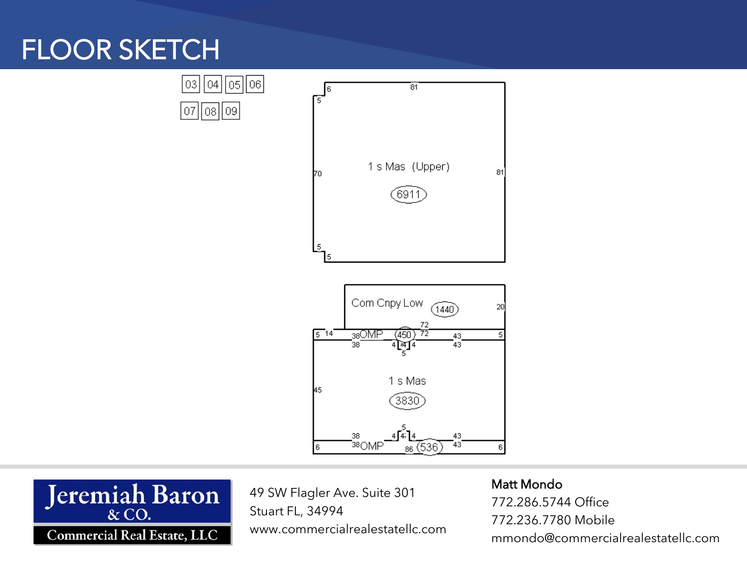## FLOOR SKETCH

|03||04||05||06|

 $|07| |08| |09|$ 





49 SW Flagler Ave. Suite 301 Stuart FL, 34994 www.commercialrealestatellc.com

#### Matt Mondo

772.286.5744 Office 772.236.7780 Mobile mmondo@commercialrealestatellc.com